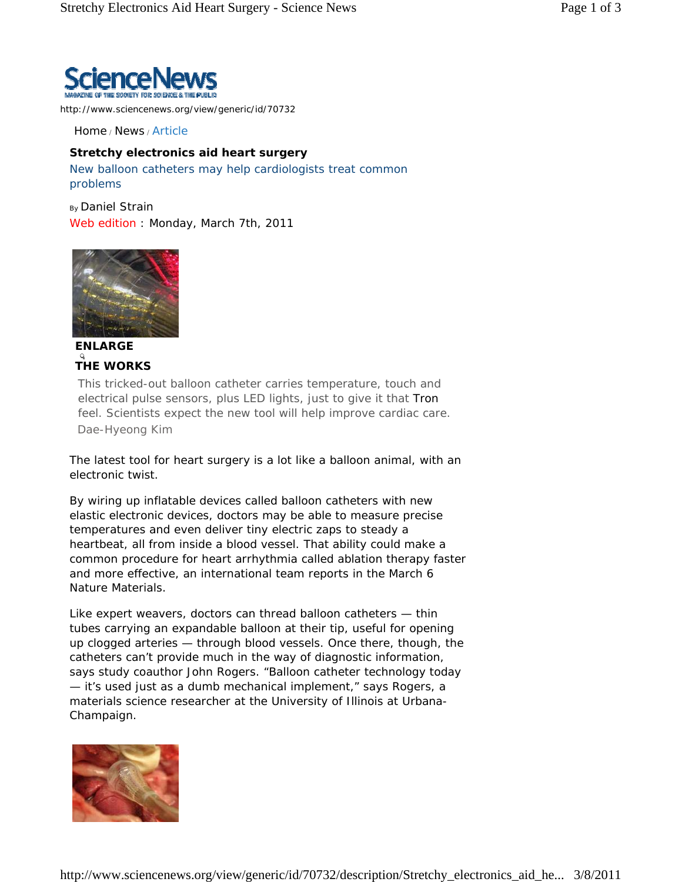

http://www.sciencenews.org/view/generic/id/70732

Home / News / Article

## **Stretchy electronics aid heart surgery**

New balloon catheters may help cardiologists treat common problems

By Daniel Strain Web edition : Monday, March 7th, 2011



**ENLARGE THE WORKS**

This tricked-out balloon catheter carries temperature, touch and electrical pulse sensors, plus LED lights, just to give it that *Tron* feel. Scientists expect the new tool will help improve cardiac care. Dae-Hyeong Kim

The latest tool for heart surgery is a lot like a balloon animal, with an electronic twist.

By wiring up inflatable devices called balloon catheters with new elastic electronic devices, doctors may be able to measure precise temperatures and even deliver tiny electric zaps to steady a heartbeat, all from inside a blood vessel. That ability could make a common procedure for heart arrhythmia called ablation therapy faster and more effective, an international team reports in the March 6 *Nature Materials*.

Like expert weavers, doctors can thread balloon catheters — thin tubes carrying an expandable balloon at their tip, useful for opening up clogged arteries — through blood vessels. Once there, though, the catheters can't provide much in the way of diagnostic information, says study coauthor John Rogers. "Balloon catheter technology today — it's used just as a dumb mechanical implement," says Rogers, a materials science researcher at the University of Illinois at Urbana-Champaign.

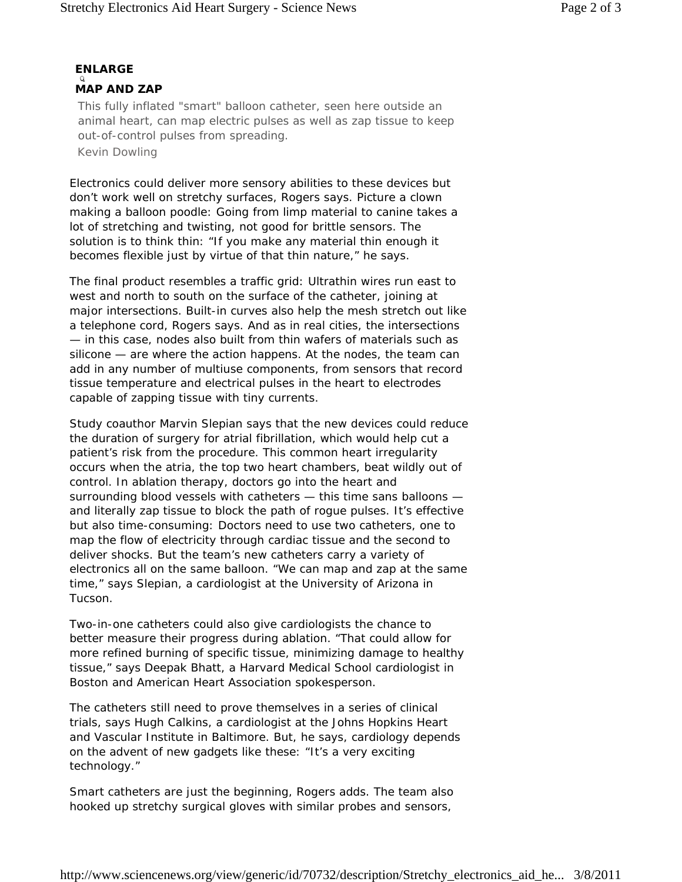## **ENLARGE MAP AND ZAP**

This fully inflated "smart" balloon catheter, seen here outside an animal heart, can map electric pulses as well as zap tissue to keep out-of-control pulses from spreading.

Kevin Dowling

Electronics could deliver more sensory abilities to these devices but don't work well on stretchy surfaces, Rogers says. Picture a clown making a balloon poodle: Going from limp material to canine takes a lot of stretching and twisting, not good for brittle sensors. The solution is to think thin: "If you make any material thin enough it becomes flexible just by virtue of that thin nature," he says.

The final product resembles a traffic grid: Ultrathin wires run east to west and north to south on the surface of the catheter, joining at major intersections. Built-in curves also help the mesh stretch out like a telephone cord, Rogers says. And as in real cities, the intersections — in this case, nodes also built from thin wafers of materials such as silicone — are where the action happens. At the nodes, the team can add in any number of multiuse components, from sensors that record tissue temperature and electrical pulses in the heart to electrodes capable of zapping tissue with tiny currents.

Study coauthor Marvin Slepian says that the new devices could reduce the duration of surgery for atrial fibrillation, which would help cut a patient's risk from the procedure. This common heart irregularity occurs when the atria, the top two heart chambers, beat wildly out of control. In ablation therapy, doctors go into the heart and surrounding blood vessels with catheters — this time sans balloons and literally zap tissue to block the path of rogue pulses. It's effective but also time-consuming: Doctors need to use two catheters, one to map the flow of electricity through cardiac tissue and the second to deliver shocks. But the team's new catheters carry a variety of electronics all on the same balloon. "We can map and zap at the same time," says Slepian, a cardiologist at the University of Arizona in Tucson.

Two-in-one catheters could also give cardiologists the chance to better measure their progress during ablation. "That could allow for more refined burning of specific tissue, minimizing damage to healthy tissue," says Deepak Bhatt, a Harvard Medical School cardiologist in Boston and American Heart Association spokesperson.

The catheters still need to prove themselves in a series of clinical trials, says Hugh Calkins, a cardiologist at the Johns Hopkins Heart and Vascular Institute in Baltimore. But, he says, cardiology depends on the advent of new gadgets like these: "It's a very exciting technology."

Smart catheters are just the beginning, Rogers adds. The team also hooked up stretchy surgical gloves with similar probes and sensors,